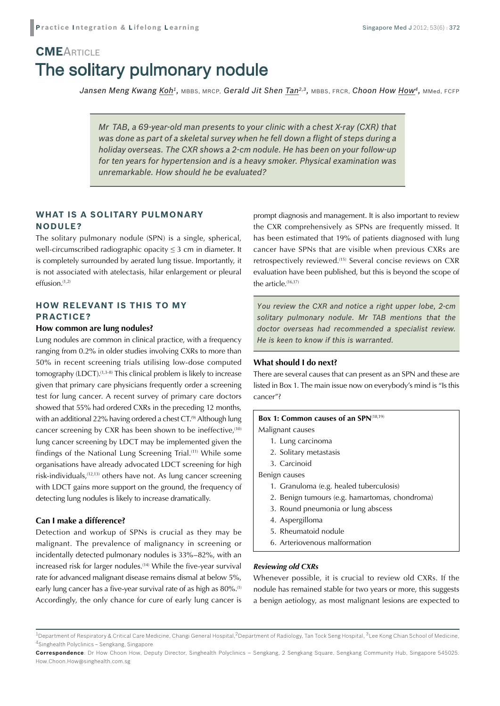# The solitary pulmonary nodule **CME**ARTICLE

*Jansen Meng Kwang Koh1,* MBBS, MRCP, *Gerald Jit Shen Tan2,3,* MBBS, FRCR, *Choon How How4,* MMed, FCFP

*Mr TAB, a 69-year-old man presents to your clinic with a chest X-ray (CXR) that was done as part of a skeletal survey when he fell down a flight of steps during a holiday overseas. The CXR shows a 2-cm nodule. He has been on your follow-up for ten years for hypertension and is a heavy smoker. Physical examination was unremarkable. How should he be evaluated?*

## **WHAT IS A SOLITARY PULMONARY NODULE?**

The solitary pulmonary nodule (SPN) is a single, spherical, well-circumscribed radiographic opacity  $\leq$  3 cm in diameter. It is completely surrounded by aerated lung tissue. Importantly, it is not associated with atelectasis, hilar enlargement or pleural effusion.(1,2)

### **HOW RELEVANT IS THIS TO MY PRACTICE?**

#### **How common are lung nodules?**

Lung nodules are common in clinical practice, with a frequency ranging from 0.2% in older studies involving CXRs to more than 50% in recent screening trials utilising low-dose computed tomography (LDCT).<sup>(1,3-8)</sup> This clinical problem is likely to increase given that primary care physicians frequently order a screening test for lung cancer. A recent survey of primary care doctors showed that 55% had ordered CXRs in the preceding 12 months, with an additional 22% having ordered a chest CT.<sup>(9)</sup> Although lung cancer screening by CXR has been shown to be ineffective, $(10)$ lung cancer screening by LDCT may be implemented given the findings of the National Lung Screening Trial.(11) While some organisations have already advocated LDCT screening for high risk-individuals,(12,13) others have not. As lung cancer screening with LDCT gains more support on the ground, the frequency of detecting lung nodules is likely to increase dramatically.

#### **Can I make a difference?**

Detection and workup of SPNs is crucial as they may be malignant. The prevalence of malignancy in screening or incidentally detected pulmonary nodules is 33%–82%, with an increased risk for larger nodules.<sup>(14)</sup> While the five-year survival rate for advanced malignant disease remains dismal at below 5%, early lung cancer has a five-year survival rate of as high as 80%.<sup>(1)</sup> Accordingly, the only chance for cure of early lung cancer is

prompt diagnosis and management. It is also important to review the CXR comprehensively as SPNs are frequently missed. It has been estimated that 19% of patients diagnosed with lung cancer have SPNs that are visible when previous CXRs are retrospectively reviewed.(15) Several concise reviews on CXR evaluation have been published, but this is beyond the scope of the article.(16,17)

*You review the CXR and notice a right upper lobe, 2-cm solitary pulmonary nodule. Mr TAB mentions that the doctor overseas had recommended a specialist review. He is keen to know if this is warranted.*

#### **What should I do next?**

There are several causes that can present as an SPN and these are listed in Box 1. The main issue now on everybody's mind is "Is this cancer"?

#### **Box 1: Common causes of an SPN**(18,19)

Malignant causes

- 1. Lung carcinoma
- 2. Solitary metastasis
- 3. Carcinoid

Benign causes

- 1. Granuloma (e.g. healed tuberculosis)
- 2. Benign tumours (e.g. hamartomas, chondroma)
- 3. Round pneumonia or lung abscess
- 4. Aspergilloma
- 5. Rheumatoid nodule
- 6. Arteriovenous malformation

#### *Reviewing old CXRs*

Whenever possible, it is crucial to review old CXRs. If the nodule has remained stable for two years or more, this suggests a benign aetiology, as most malignant lesions are expected to

 $1$ Department of Respiratory & Critical Care Medicine, Changi General Hospital,<sup>2</sup>Department of Radiology, Tan Tock Seng Hospital,  $3$ Lee Kong Chian School of Medicine, 4Singhealth Polyclinics – Sengkang, Singapore

**Correspondence**: Dr How Choon How, Deputy Director, Singhealth Polyclinics – Sengkang, 2 Sengkang Square, Sengkang Community Hub, Singapore 545025. How.Choon.How@singhealth.com.sg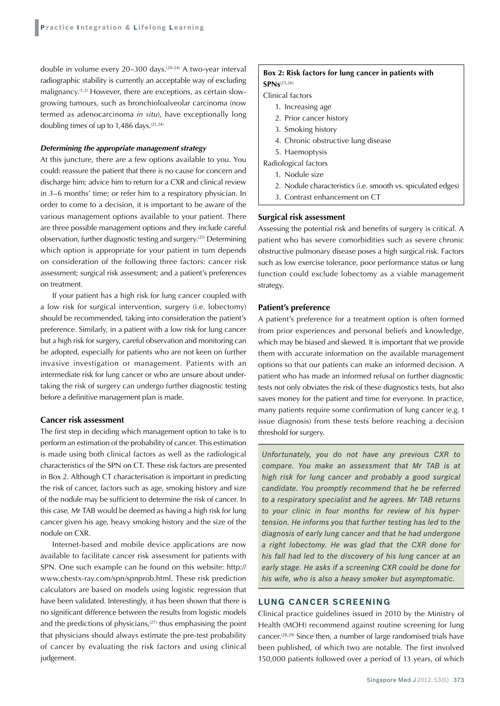double in volume every 20-300 days.<sup>(20-24)</sup> A two-year interval radiographic stability is currently an acceptable way of excluding malignancy.(1,2) However, there are exceptions, as certain slowgrowing tumours, such as bronchioloalveolar carcinoma (now termed as adenocarcinoma *in situ*), have exceptionally long doubling times of up to  $1,486$  days.<sup>(21,24)</sup>

#### *Determining the appropriate management strategy*

At this juncture, there are a few options available to you. You could: reassure the patient that there is no cause for concern and discharge him; advice him to return for a CXR and clinical review in 3–6 months' time; or refer him to a respiratory physician. In order to come to a decision, it is important to be aware of the various management options available to your patient. There are three possible management options and they include careful observation, further diagnostic testing and surgery.<sup>(25)</sup> Determining which option is appropriate for your patient in turn depends on consideration of the following three factors: cancer risk assessment; surgical risk assessment; and a patient's preferences on treatment.

If your patient has a high risk for lung cancer coupled with a low risk for surgical intervention, surgery (i.e. lobectomy) should be recommended, taking into consideration the patient's preference. Similarly, in a patient with a low risk for lung cancer but a high risk for surgery, careful observation and monitoring can be adopted, especially for patients who are not keen on further invasive investigation or management. Patients with an intermediate risk for lung cancer or who are unsure about undertaking the risk of surgery can undergo further diagnostic testing before a definitive management plan is made.

#### **Cancer risk assessment**

The first step in deciding which management option to take is to perform an estimation of the probability of cancer. This estimation is made using both clinical factors as well as the radiological characteristics of the SPN on CT. These risk factors are presented in Box 2. Although CT characterisation is important in predicting the risk of cancer, factors such as age, smoking history and size of the nodule may be sufficient to determine the risk of cancer. In this case, Mr TAB would be deemed as having a high risk for lung cancer given his age, heavy smoking history and the size of the nodule on CXR.

Internet-based and mobile device applications are now available to facilitate cancer risk assessment for patients with SPN. One such example can be found on this website: http:// www.chestx-ray.com/spn/spnprob.html. These risk prediction calculators are based on models using logistic regression that have been validated. Interestingly, it has been shown that there is no significant difference between the results from logistic models and the predictions of physicians, $(27)$  thus emphasising the point that physicians should always estimate the pre-test probability of cancer by evaluating the risk factors and using clinical judgement.

#### **Box 2: Risk factors for lung cancer in patients with SPNs**(25,26)

Clinical factors

- 1. Increasing age
- 2. Prior cancer history
- 3. Smoking history
- 4. Chronic obstructive lung disease
- 5. Haemoptysis

Radiological factors

- 1. Nodule size
- 2. Nodule characteristics (i.e. smooth vs. spiculated edges)
- 3. Contrast enhancement on CT

#### **Surgical risk assessment**

Assessing the potential risk and benefits of surgery is critical. A patient who has severe comorbidities such as severe chronic obstructive pulmonary disease poses a high surgical risk. Factors such as low exercise tolerance, poor performance status or lung function could exclude lobectomy as a viable management strategy.

#### **Patient's preference**

A patient's preference for a treatment option is often formed from prior experiences and personal beliefs and knowledge, which may be biased and skewed. It is important that we provide them with accurate information on the available management options so that our patients can make an informed decision. A patient who has made an informed refusal on further diagnostic tests not only obviates the risk of these diagnostics tests, but also saves money for the patient and time for everyone. In practice, many patients require some confirmation of lung cancer (e.g. t issue diagnosis) from these tests before reaching a decision threshold for surgery.

*Unfortunately, you do not have any previous CXR to compare. You make an assessment that Mr TAB is at high risk for lung cancer and probably a good surgical candidate. You promptly recommend that he be referred to a respiratory specialist and he agrees. Mr TAB returns to your clinic in four months for review of his hypertension. He informs you that further testing has led to the diagnosis of early lung cancer and that he had undergone a right lobectomy. He was glad that the CXR done for his fall had led to the discovery of his lung cancer at an early stage. He asks if a screening CXR could be done for his wife, who is also a heavy smoker but asymptomatic.*

#### **LUNG CANCER SCREENING**

Clinical practice guidelines issued in 2010 by the Ministry of Health (MOH) recommend against routine screening for lung cancer.(28,29) Since then, a number of large randomised trials have been published, of which two are notable. The first involved 150,000 patients followed over a period of 13 years, of which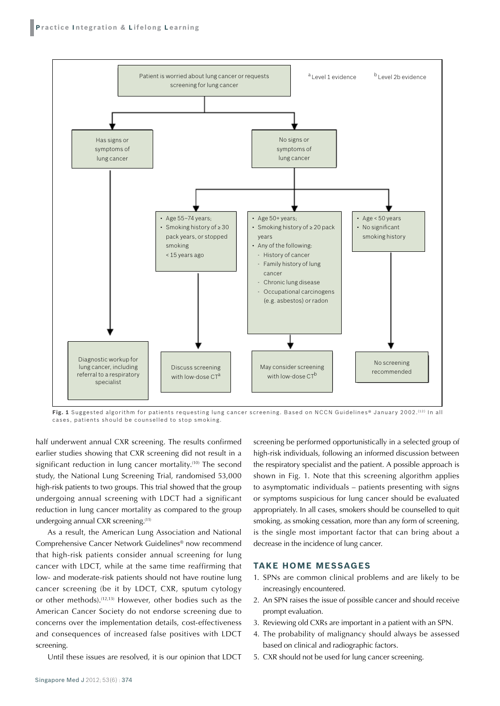

**Fig. 1** Suggested algorithm for patients requesting lung cancer screening. Based on NCCN Guidelines® January 2002. (12) In all cases, patients should be counselled to stop smoking.

half underwent annual CXR screening. The results confirmed earlier studies showing that CXR screening did not result in a significant reduction in lung cancer mortality.<sup>(10)</sup> The second study, the National Lung Screening Trial, randomised 53,000 high-risk patients to two groups. This trial showed that the group undergoing annual screening with LDCT had a significant reduction in lung cancer mortality as compared to the group undergoing annual CXR screening.<sup>(11)</sup>

As a result, the American Lung Association and National Comprehensive Cancer Network Guidelines® now recommend that high-risk patients consider annual screening for lung cancer with LDCT, while at the same time reaffirming that low- and moderate-risk patients should not have routine lung cancer screening (be it by LDCT, CXR, sputum cytology or other methods).(12,13) However, other bodies such as the American Cancer Society do not endorse screening due to concerns over the implementation details, cost-effectiveness and consequences of increased false positives with LDCT screening.

Until these issues are resolved, it is our opinion that LDCT

screening be performed opportunistically in a selected group of high-risk individuals, following an informed discussion between the respiratory specialist and the patient. A possible approach is shown in Fig. 1. Note that this screening algorithm applies to asymptomatic individuals – patients presenting with signs or symptoms suspicious for lung cancer should be evaluated appropriately. In all cases, smokers should be counselled to quit smoking, as smoking cessation, more than any form of screening, is the single most important factor that can bring about a decrease in the incidence of lung cancer.

#### **Take Home Messages**

- 1. SPNs are common clinical problems and are likely to be increasingly encountered.
- 2. An SPN raises the issue of possible cancer and should receive prompt evaluation.
- 3. Reviewing old CXRs are important in a patient with an SPN.
- 4. The probability of malignancy should always be assessed based on clinical and radiographic factors.
- 5. CXR should not be used for lung cancer screening.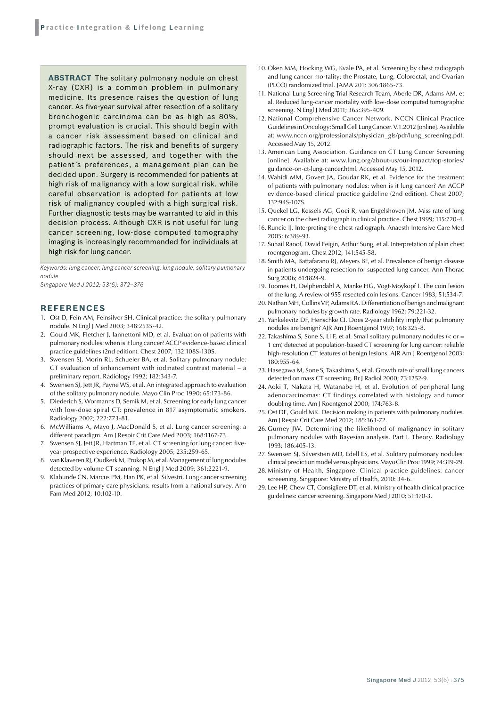**ABSTRACT** The solitary pulmonary nodule on chest X-ray (CXR) is a common problem in pulmonary medicine. Its presence raises the question of lung cancer. As five-year survival after resection of a solitary bronchogenic carcinoma can be as high as 80%, prompt evaluation is crucial. This should begin with a cancer risk assessment based on clinical and radiographic factors. The risk and benefits of surgery should next be assessed, and together with the patient's preferences, a management plan can be decided upon. Surgery is recommended for patients at high risk of malignancy with a low surgical risk, while careful observation is adopted for patients at low risk of malignancy coupled with a high surgical risk. Further diagnostic tests may be warranted to aid in this decision process. Although CXR is not useful for lung cancer screening, low-dose computed tomography imaging is increasingly recommended for individuals at high risk for lung cancer.

*Keywords: lung cancer, lung cancer screening, lung nodule, solitary pulmonary nodule* 

*Singapore Med J 2012; 53(6): 372–376*

#### **REFERENCES**

- 1. Ost D, Fein AM, Feinsilver SH. Clinical practice: the solitary pulmonary nodule. N Engl J Med 2003; 348:2535-42.
- 2. Gould MK, Fletcher J, Iannettoni MD, et al. Evaluation of patients with pulmonary nodules: when is it lung cancer? ACCP evidence-based clinical practice guidelines (2nd edition). Chest 2007; 132:108S-130S.
- 3. Swensen SJ, Morin RL, Schueler BA, et al. Solitary pulmonary nodule: CT evaluation of enhancement with iodinated contrast material – a preliminary report. Radiology 1992; 182:343-7.
- 4. Swensen SJ, Jett JR, Payne WS, et al. An integrated approach to evaluation of the solitary pulmonary nodule. Mayo Clin Proc 1990; 65:173-86.
- 5. Diederich S, Wormanns D, Semik M, et al. Screening for early lung cancer with low-dose spiral CT: prevalence in 817 asymptomatic smokers. Radiology 2002; 222:773-81.
- 6. McWilliams A, Mayo J, MacDonald S, et al. Lung cancer screening: a different paradigm. Am J Respir Crit Care Med 2003; 168:1167-73.
- 7. Swensen SJ, Jett JR, Hartman TE, et al. CT screening for lung cancer: fiveyear prospective experience. Radiology 2005; 235:259-65.
- 8. van Klaveren RJ, Oudkerk M, Prokop M, et al. Management of lung nodules detected by volume CT scanning. N Engl J Med 2009; 361:2221-9.
- 9. Klabunde CN, Marcus PM, Han PK, et al. Silvestri. Lung cancer screening practices of primary care physicians: results from a national survey. Ann Fam Med 2012; 10:102-10.
- 10. Oken MM, Hocking WG, Kvale PA, et al. Screening by chest radiograph and lung cancer mortality: the Prostate, Lung, Colorectal, and Ovarian (PLCO) randomized trial. JAMA 201; 306:1865-73.
- 11. National Lung Screening Trial Research Team, Aberle DR, Adams AM, et al. Reduced lung-cancer mortality with low-dose computed tomographic screening. N Engl J Med 2011; 365:395-409.
- 12. National Comprehensive Cancer Network. NCCN Clinical Practice Guidelines in Oncology: Small Cell Lung Cancer. V.1.2012 [online]. Available at: www.nccn.org/professionals/physician\_gls/pdf/lung\_screening.pdf. Accessed May 15, 2012.
- 13. American Lung Association. Guidance on CT Lung Cancer Screening [online]. Available at: www.lung.org/about-us/our-impact/top-stories/ guidance-on-ct-lung-cancer.html. Accessed May 15, 2012.
- 14. Wahidi MM, Govert JA, Goudar RK, et al. Evidence for the treatment of patients with pulmonary nodules: when is it lung cancer? An ACCP evidence-based clinical practice guideline (2nd edition). Chest 2007; 132:94S-107S.
- 15. Quekel LG, Kessels AG, Goei R, van Engelshoven JM. Miss rate of lung cancer on the chest radiograph in clinical practice. Chest 1999; 115:720-4.
- 16. Runcie IJ. Interpreting the chest radiograph. Anaesth Intensive Care Med 2005; 6:389-93.
- 17. Suhail Raoof, David Feigin, Arthur Sung, et al. Interpretation of plain chest roentgenogram. Chest 2012; 141:545-58.
- 18. Smith MA, Battafarano RJ, Meyers BF, et al. Prevalence of benign disease in patients undergoing resection for suspected lung cancer. Ann Thorac Surg 2006; 81:1824-9.
- 19. Toomes H, Delphendahl A, Manke HG, Vogt-Moykopf I. The coin lesion of the lung. A review of 955 resected coin lesions. Cancer 1983; 51:534-7.
- 20. Nathan MH, Collins VP, Adams RA. Differentiation of benign and malignant pulmonary nodules by growth rate. Radiology 1962; 79:221-32.
- 21. Yankelevitz DF, Henschke CI. Does 2-year stability imply that pulmonary nodules are benign? AJR Am J Roentgenol 1997; 168:325-8.
- 22. Takashima S, Sone S, Li F, et al. Small solitary pulmonary nodules (< or = 1 cm) detected at population-based CT screening for lung cancer: reliable high-resolution CT features of benign lesions. AJR Am J Roentgenol 2003; 180:955-64.
- 23. Hasegawa M, Sone S, Takashima S, et al. Growth rate of small lung cancers detected on mass CT screening. Br J Radiol 2000; 73:1252-9.
- 24. Aoki T, Nakata H, Watanabe H, et al. Evolution of peripheral lung adenocarcinomas: CT findings correlated with histology and tumor doubling time. Am J Roentgenol 2000; 174:763-8.
- 25. Ost DE, Gould MK. Decision making in patients with pulmonary nodules. Am J Respir Crit Care Med 2012; 185:363-72.
- 26. Gurney JW. Determining the likelihood of malignancy in solitary pulmonary nodules with Bayesian analysis. Part I. Theory. Radiology 1993; 186:405-13.
- 27. Swensen SJ, Silverstein MD, Edell ES, et al. Solitary pulmonary nodules: clinical prediction model versus physicians. Mayo Clin Proc 1999; 74:319-29.
- 28. Ministry of Health, Singapore. Clinical practice guidelines: cancer screeening. Singapore: Ministry of Health, 2010: 34-6.
- 29. Lee HP, Chew CT, Consigliere DT, et al. Ministry of health clinical practice guidelines: cancer screening. Singapore Med J 2010; 51:170-3.